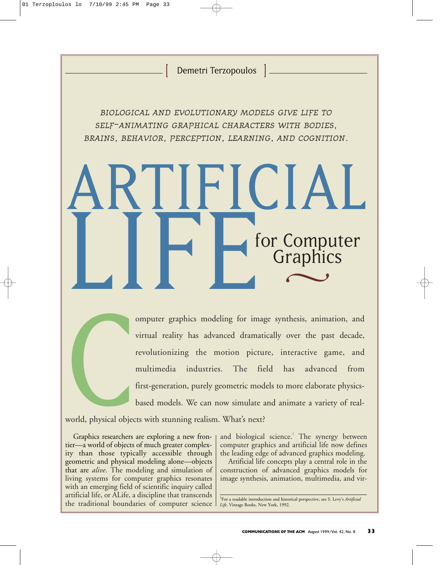[ Demetri Terzopoulos ]

*biological and evolutionary models give life to self-animating graphical characters with bodies, brains, behavior, perception, learning, and cognition.*

# ARTIFICIAL LIFE for Computer<br>Graphics  $\sim$

omputer graphics modeling for image synthesis, animation, and virtual reality has advanced dramatically over the past decade, revolutionizing the motion picture, interactive game, and multimedia industries. The field has advanced from first-generation, purely geometric models to more elaborate physicsbased models. We can now simulate and animate a variety of real-

world, physical objects with stunning realism. What's next?

World, physical objects<br>Graphics researchers<br>tier—a world of objects Graphics researchers are exploring a new frontier—a world of objects of much greater complexity than those typically accessible through geometric and physical modeling alone—objects that are *alive*. The modeling and simulation of living systems for computer graphics resonates with an emerging field of scientific inquiry called artificial life, or ALife, a discipline that transcends the traditional boundaries of computer science *Life*, Vintage Books, New York, 1992.

and biological science.<sup>1</sup> The synergy between computer graphics and artificial life now defines the leading edge of advanced graphics modeling.

Artificial life concepts play a central role in the construction of advanced graphics models for image synthesis, animation, multimedia, and vir-

1 For a readable introduction and historical perspective, see S. Levy's *Artificial*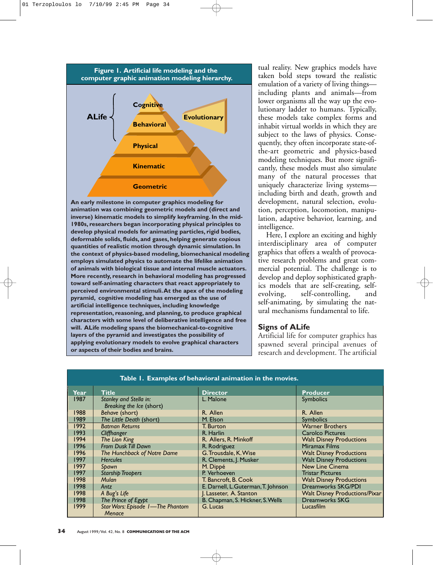

**An early milestone in computer graphics modeling for animation was combining geometric models and (direct and inverse) kinematic models to simplify keyframing. In the mid-1980s, researchers began incorporating physical principles to develop physical models for animating particles, rigid bodies, deformable solids, fluids, and gases, helping generate copious quantities of realistic motion through dynamic simulation. In the context of physics-based modeling, biomechanical modeling employs simulated physics to automate the lifelike animation of animals with biological tissue and internal muscle actuators. More recently, research in behavioral modeling has progressed toward self-animating characters that react appropriately to perceived environmental stimuli. At the apex of the modeling pyramid, cognitive modeling has emerged as the use of artificial intelligence techniques, including knowledge representation, reasoning, and planning, to produce graphical characters with some level of deliberative intelligence and free will. ALife modeling spans the biomechanical-to-cognitive layers of the pyramid and investigates the possibility of applying evolutionary models to evolve graphical characters or aspects of their bodies and brains.**

tual reality. New graphics models have taken bold steps toward the realistic emulation of a variety of living things including plants and animals—from lower organisms all the way up the evolutionary ladder to humans. Typically, these models take complex forms and inhabit virtual worlds in which they are subject to the laws of physics. Consequently, they often incorporate state-ofthe-art geometric and physics-based modeling techniques. But more significantly, these models must also simulate many of the natural processes that uniquely characterize living systems including birth and death, growth and development, natural selection, evolution, perception, locomotion, manipulation, adaptive behavior, learning, and intelligence.

Here, I explore an exciting and highly interdisciplinary area of computer graphics that offers a wealth of provocative research problems and great commercial potential. The challenge is to develop and deploy sophisticated graphics models that are self-creating, selfevolving, self-controlling, and self-animating, by simulating the natural mechanisms fundamental to life.

# **Signs of ALife**

Artificial life for computer graphics has spawned several principal avenues of research and development. The artificial

| Table 1. Examples of behavioral animation in the movies. |                                                    |                                    |                                      |
|----------------------------------------------------------|----------------------------------------------------|------------------------------------|--------------------------------------|
| Year                                                     | <b>Title</b>                                       | <b>Director</b>                    | <b>Producer</b>                      |
| 1987                                                     | Stanley and Stella in:<br>Breaking the Ice (short) | L. Malone                          | <b>Symbolics</b>                     |
| 1988                                                     | Behave (short)                                     | R. Allen                           | R. Allen                             |
| 1989                                                     | The Little Death (short)                           | M. Elson                           | <b>Symbolics</b>                     |
| 1992                                                     | <b>Batman Returns</b>                              | T. Burton                          | <b>Warner Brothers</b>               |
| 1993                                                     | Cliffhanger                                        | R. Harlin                          | <b>Carolco Pictures</b>              |
| 1994                                                     | The Lion King                                      | R. Allers, R. Minkoff              | <b>Walt Disney Productions</b>       |
| 1996                                                     | From Dusk Till Dawn                                | R. Rodriguez                       | Miramax Films                        |
| 1996                                                     | The Hunchback of Notre Dame                        | G. Trousdale, K. Wise              | <b>Walt Disney Productions</b>       |
| 1997                                                     | <b>Hercules</b>                                    | R. Clements, J. Musker             | <b>Walt Disney Productions</b>       |
| 1997                                                     | Spawn                                              | M. Dippé                           | New Line Cinema                      |
| 1997                                                     | <b>Starship Troopers</b>                           | P. Verhoeven                       | <b>Tristar Pictures</b>              |
| 1998                                                     | <b>Mulan</b>                                       | T. Bancroft, B. Cook               | <b>Walt Disney Productions</b>       |
| 1998                                                     | Antz                                               | E. Darnell, L.Guterman, T. Johnson | Dreamworks SKG/PDI                   |
| 1998                                                     | A Bug's Life                                       | J. Lasseter, A. Stanton            | <b>Walt Disney Productions/Pixar</b> |
| 1998                                                     | The Prince of Egypt                                | B. Chapman, S. Hickner, S. Wells   | <b>Dreamworks SKG</b>                |
| 1999                                                     | Star Wars: Episode I-The Phantom<br>Menace         | G. Lucas                           | Lucasfilm                            |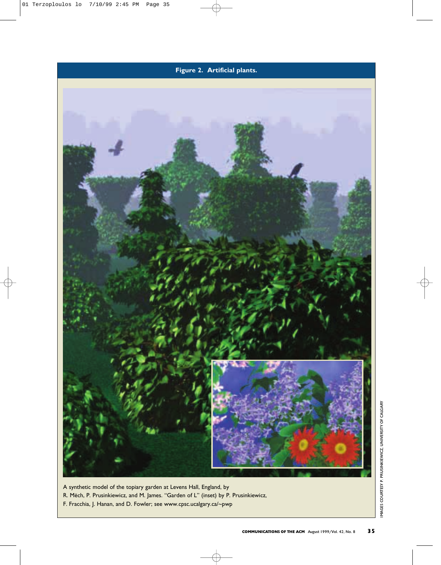

A synthetic model of the topiary garden at Levens Hall, England, by R. Mëch, P. Prusinkiewicz, and M. James. "Garden of L" (inset) by P. Prusinkiewicz, F. Fracchia, J. Hanan, and D. Fowler; see www.cpsc.ucalgary.ca/~pwp

IMAGES COURTESY P. PRUSINKIEWICZ, UNIVERSITY OF CALGARY IMAGES COURTESY P. PRUSINKIEWICZ, UNIVERSITY OF CALGARY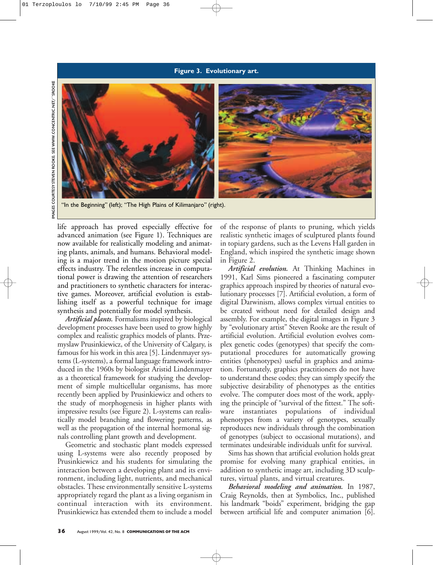### **Figure 3. Evolutionary art.**



"In the Beginning" (left); "The High Plains of Kilimanjaro" (right).

life approach has proved especially effective for advanced animation (see Figure 1). Techniques are now available for realistically modeling and animating plants, animals, and humans. Behavioral modeling is a major trend in the motion picture special effects industry. The relentless increase in computational power is drawing the attention of researchers and practitioners to synthetic characters for interactive games. Moreover, artificial evolution is establishing itself as a powerful technique for image synthesis and potentially for model synthesis.

*Artificial plants.* Formalisms inspired by biological development processes have been used to grow highly complex and realistic graphics models of plants. Przemyslaw Prusinkiewicz, of the University of Calgary, is famous for his work in this area [5]. Lindenmayer systems (L-systems), a formal language framework introduced in the 1960s by biologist Aristid Lindenmayer as a theoretical framework for studying the development of simple multicellular organisms, has more recently been applied by Prusinkiewicz and others to the study of morphogenesis in higher plants with impressive results (see Figure 2). L-systems can realistically model branching and flowering patterns, as well as the propagation of the internal hormonal signals controlling plant growth and development.

Geometric and stochastic plant models expressed using L-systems were also recently proposed by Prusinkiewicz and his students for simulating the interaction between a developing plant and its environment, including light, nutrients, and mechanical obstacles. These environmentally sensitive L-systems appropriately regard the plant as a living organism in continual interaction with its environment. Prusinkiewicz has extended them to include a model of the response of plants to pruning, which yields realistic synthetic images of sculptured plants found in topiary gardens, such as the Levens Hall garden in England, which inspired the synthetic image shown in Figure 2.

*Artificial evolution.* At Thinking Machines in 1991, Karl Sims pioneered a fascinating computer graphics approach inspired by theories of natural evolutionary processes [7]. Artificial evolution, a form of digital Darwinism, allows complex virtual entities to be created without need for detailed design and assembly. For example, the digital images in Figure 3 by "evolutionary artist" Steven Rooke are the result of artificial evolution. Artificial evolution evolves complex genetic codes (genotypes) that specify the computational procedures for automatically growing entities (phenotypes) useful in graphics and animation. Fortunately, graphics practitioners do not have to understand these codes; they can simply specify the subjective desirability of phenotypes as the entities evolve. The computer does most of the work, applying the principle of "survival of the fittest." The software instantiates populations of individual phenotypes from a variety of genotypes, sexually reproduces new individuals through the combination of genotypes (subject to occasional mutations), and terminates undesirable individuals unfit for survival.

Sims has shown that artificial evolution holds great promise for evolving many graphical entities, in addition to synthetic image art, including 3D sculptures, virtual plants, and virtual creatures.

*Behavioral modeling and animation.* In 1987, Craig Reynolds, then at Symbolics, Inc., published his landmark "boids" experiment, bridging the gap between artificial life and computer animation [6].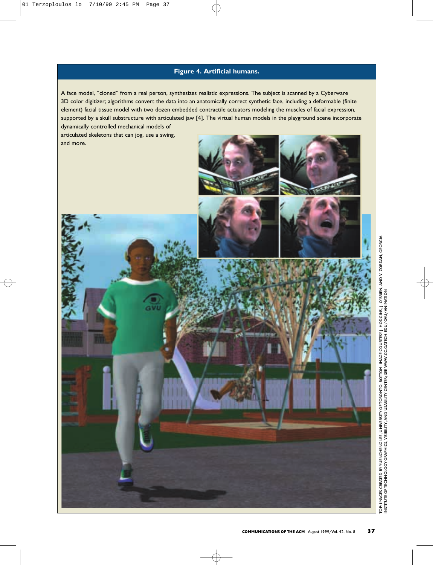# **Figure 4. Artificial humans.**

A face model, "cloned" from a real person, synthesizes realistic expressions. The subject is scanned by a Cyberware 3D color digitizer; algorithms convert the data into an anatomically correct synthetic face, including a deformable (finite element) facial tissue model with two dozen embedded contractile actuators modeling the muscles of facial expression, supported by a skull substructure with articulated jaw [4]. The virtual human models in the playground scene incorporate dynamically controlled mechanical models of

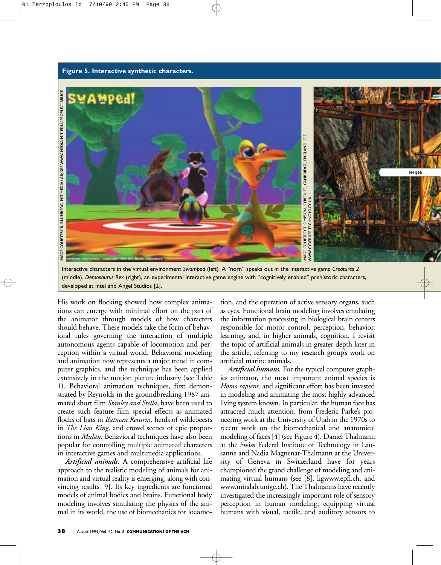### **Figure 5. Interactive synthetic characters.**



Interactive characters in the virtual environment *Swamped* (left)*.* A "norn" speaks out in the interactive gam*e Creatures 2*  (middle). *Demosaurus Rex* (right), an experimental interactive game engine with "cognitively enabled" prehistoric characters,

His work on flocking showed how complex animations can emerge with minimal effort on the part of the animator through models of how characters should behave. These models take the form of behavioral rules governing the interaction of multiple autonomous agents capable of locomotion and perception within a virtual world. Behavioral modeling and animation now represents a major trend in computer graphics, and the technique has been applied extensively in the motion picture industry (see Table 1). Behavioral animation techniques, first demonstrated by Reynolds in the groundbreaking 1987 animated short film *Stanley and Stella*, have been used to create such feature film special effects as animated flocks of bats in *Batman Returns,* herds of wildebeests in *The Lion King,* and crowd scenes of epic proportions in *Mulan.* Behavioral techniques have also been popular for controlling multiple animated characters in interactive games and multimedia applications.

*Artificial animals.* A comprehensive artificial life approach to the realistic modeling of animals for animation and virtual reality is emerging, along with convincing results [9]. Its key ingredients are functional models of animal bodies and brains. Functional body modeling involves simulating the physics of the animal in its world, the use of biomechanics for locomo-

tion, and the operation of active sensory organs, such as eyes. Functional brain modeling involves emulating the information processing in biological brain centers responsible for motor control, perception, behavior, learning, and, in higher animals, cognition. I revisit the topic of artificial animals in greater depth later in the article, referring to my research group's work on artificial marine animals.

*Artificial humans.* For the typical computer graphics animator, the most important animal species is *Homo sapiens,* and significant effort has been invested in modeling and animating the most highly advanced living system known. In particular, the human face has attracted much attention, from Frederic Parke's pioneering work at the University of Utah in the 1970s to recent work on the biomechanical and anatomical modeling of faces [4] (see Figure 4). Daniel Thalmann at the Swiss Federal Institute of Technology in Lausanne and Nadia Magnenat-Thalmann at the University of Geneva in Switzerland have for years championed the grand challenge of modeling and animating virtual humans (see [8], ligwww.epfl.ch, and www.miralab.unige.ch). The Thalmanns have recently investigated the increasingly important role of sensory perception in human modeling, equipping virtual humans with visual, tactile, and auditory sensors to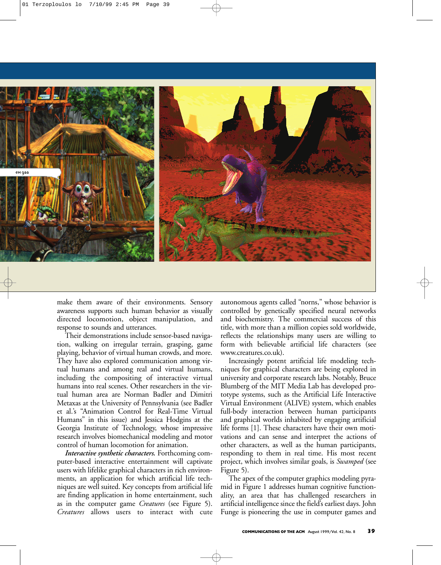

make them aware of their environments. Sensory awareness supports such human behavior as visually directed locomotion, object manipulation, and response to sounds and utterances.

Their demonstrations include sensor-based navigation, walking on irregular terrain, grasping, game playing, behavior of virtual human crowds, and more. They have also explored communication among virtual humans and among real and virtual humans, including the compositing of interactive virtual humans into real scenes. Other researchers in the virtual human area are Norman Badler and Dimitri Metaxas at the University of Pennsylvania (see Badler et al.'s "Animation Control for Real-Time Virtual Humans" in this issue) and Jessica Hodgins at the Georgia Institute of Technology, whose impressive research involves biomechanical modeling and motor control of human locomotion for animation.

*Interactive synthetic characters.* Forthcoming computer-based interactive entertainment will captivate users with lifelike graphical characters in rich environments, an application for which artificial life techniques are well suited. Key concepts from artificial life are finding application in home entertainment, such as in the computer game *Creatures* (see Figure 5). *Creatures* allows users to interact with cute

autonomous agents called "norns," whose behavior is controlled by genetically specified neural networks and biochemistry. The commercial success of this title, with more than a million copies sold worldwide, reflects the relationships many users are willing to form with believable artificial life characters (see www.creatures.co.uk).

Increasingly potent artificial life modeling techniques for graphical characters are being explored in university and corporate research labs. Notably, Bruce Blumberg of the MIT Media Lab has developed prototype systems, such as the Artificial Life Interactive Virtual Environment (ALIVE) system, which enables full-body interaction between human participants and graphical worlds inhabited by engaging artificial life forms [1]. These characters have their own motivations and can sense and interpret the actions of other characters, as well as the human participants, responding to them in real time. His most recent project, which involves similar goals, is *Swamped* (see Figure 5).

The apex of the computer graphics modeling pyramid in Figure 1 addresses human cognitive functionality, an area that has challenged researchers in artificial intelligence since the field's earliest days. John Funge is pioneering the use in computer games and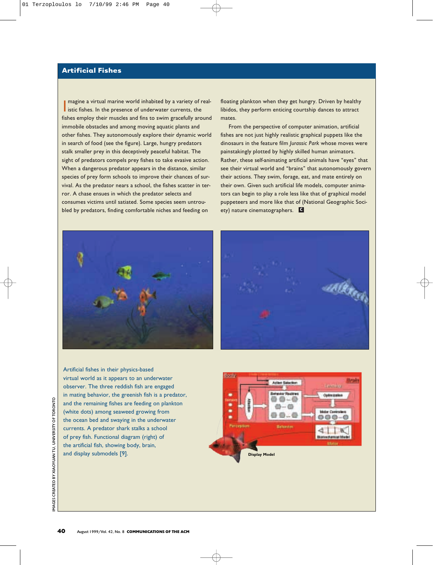# **Artificial Fishes**

I magne a virtual marine world inhabited by a variety of its<br>istic fishes. In the presence of underwater currents, the<br>fishes employ their muscles and fins to swim gracefully are magine a virtual marine world inhabited by a variety of realfishes employ their muscles and fins to swim gracefully around immobile obstacles and among moving aquatic plants and other fishes. They autonomously explore their dynamic world in search of food (see the figure). Large, hungry predators stalk smaller prey in this deceptively peaceful habitat. The sight of predators compels prey fishes to take evasive action. When a dangerous predator appears in the distance, similar species of prey form schools to improve their chances of survival. As the predator nears a school, the fishes scatter in terror. A chase ensues in which the predator selects and consumes victims until satiated. Some species seem untroubled by predators, finding comfortable niches and feeding on

floating plankton when they get hungry. Driven by healthy libidos, they perform enticing courtship dances to attract mates.

From the perspective of computer animation, artificial fishes are not just highly realistic graphical puppets like the dinosaurs in the feature film Jurassic Park whose moves were painstakingly plotted by highly skilled human animators. Rather, these self-animating artificial animals have "eyes" that see their virtual world and "brains" that autonomously govern their actions. They swim, forage, eat, and mate entirely on their own. Given such artificial life models, computer animators can begin to play a role less like that of graphical model puppeteers and more like that of (National Geographic Society) nature cinematographers. **c**





Artificial fishes in their physics-based virtual world as it appears to an underwater observer. The three reddish fish are engaged in mating behavior, the greenish fish is a predator, and the remaining fishes are feeding on plankton (white dots) among seaweed growing from the ocean bed and swaying in the underwater currents. A predator shark stalks a school of prey fish. Functional diagram (right) of the artificial fish, showing body, brain, and display submodels [9].

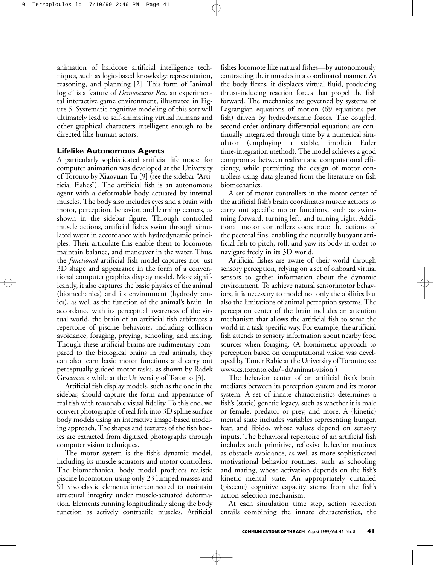animation of hardcore artificial intelligence techniques, such as logic-based knowledge representation, reasoning, and planning [2]. This form of "animal logic" is a feature of *Demosaurus Rex,* an experimental interactive game environment, illustrated in Figure 5. Systematic cognitive modeling of this sort will ultimately lead to self-animating virtual humans and other graphical characters intelligent enough to be directed like human actors.

# **Lifelike Autonomous Agents**

A particularly sophisticated artificial life model for computer animation was developed at the University of Toronto by Xiaoyuan Tu [9] (see the sidebar "Artificial Fishes"). The artificial fish is an autonomous agent with a deformable body actuated by internal muscles. The body also includes eyes and a brain with motor, perception, behavior, and learning centers, as shown in the sidebar figure. Through controlled muscle actions, artificial fishes swim through simulated water in accordance with hydrodynamic principles. Their articulate fins enable them to locomote, maintain balance, and maneuver in the water. Thus, the *functional* artificial fish model captures not just 3D shape and appearance in the form of a conventional computer graphics display model. More significantly, it also captures the basic physics of the animal (biomechanics) and its environment (hydrodynamics), as well as the function of the animal's brain. In accordance with its perceptual awareness of the virtual world, the brain of an artificial fish arbitrates a repertoire of piscine behaviors, including collision avoidance, foraging, preying, schooling, and mating. Though these artificial brains are rudimentary compared to the biological brains in real animals, they can also learn basic motor functions and carry out perceptually guided motor tasks, as shown by Radek Grzeszczuk while at the University of Toronto [3].

Artificial fish display models, such as the one in the sidebar, should capture the form and appearance of real fish with reasonable visual fidelity. To this end, we convert photographs of real fish into 3D spline surface body models using an interactive image-based modeling approach. The shapes and textures of the fish bodies are extracted from digitized photographs through computer vision techniques.

The motor system is the fish's dynamic model, including its muscle actuators and motor controllers. The biomechanical body model produces realistic piscine locomotion using only 23 lumped masses and 91 viscoelastic elements interconnected to maintain structural integrity under muscle-actuated deformation. Elements running longitudinally along the body function as actively contractile muscles. Artificial fishes locomote like natural fishes—by autonomously contracting their muscles in a coordinated manner. As the body flexes, it displaces virtual fluid, producing thrust-inducing reaction forces that propel the fish forward. The mechanics are governed by systems of Lagrangian equations of motion (69 equations per fish) driven by hydrodynamic forces. The coupled, second-order ordinary differential equations are continually integrated through time by a numerical simulator (employing a stable, implicit Euler time-integration method). The model achieves a good compromise between realism and computational efficiency, while permitting the design of motor controllers using data gleaned from the literature on fish biomechanics.

A set of motor controllers in the motor center of the artificial fish's brain coordinates muscle actions to carry out specific motor functions, such as swimming forward, turning left, and turning right. Additional motor controllers coordinate the actions of the pectoral fins, enabling the neutrally buoyant artificial fish to pitch, roll, and yaw its body in order to navigate freely in its 3D world.

Artificial fishes are aware of their world through sensory perception, relying on a set of onboard virtual sensors to gather information about the dynamic environment. To achieve natural sensorimotor behaviors, it is necessary to model not only the abilities but also the limitations of animal perception systems. The perception center of the brain includes an attention mechanism that allows the artificial fish to sense the world in a task-specific way. For example, the artificial fish attends to sensory information about nearby food sources when foraging. (A biomimetic approach to perception based on computational vision was developed by Tamer Rabie at the University of Toronto; see www.cs.toronto.edu/~dt/animat-vision.)

The behavior center of an artificial fish's brain mediates between its perception system and its motor system. A set of innate characteristics determines a fish's (static) genetic legacy, such as whether it is male or female, predator or prey, and more. A (kinetic) mental state includes variables representing hunger, fear, and libido, whose values depend on sensory inputs. The behavioral repertoire of an artificial fish includes such primitive, reflexive behavior routines as obstacle avoidance, as well as more sophisticated motivational behavior routines, such as schooling and mating, whose activation depends on the fish's kinetic mental state. An appropriately curtailed (piscene) cognitive capacity stems from the fish's action-selection mechanism.

At each simulation time step, action selection entails combining the innate characteristics, the